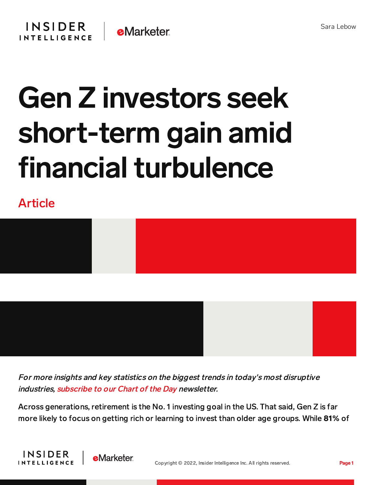

## Gen Z investors seek short-term gain amid financial turbulence

Article



For more insights and key statistics on the biggest trends in today's most disruptive industries, [subscribe](https://www.businessinsider.com/intelligence/chart-of-the-day-newsletter?IR=T&itm_source=insiderintelligence&itm_medium=inline_cotd&itm_content=chart-of-the-day-newsletter) to our Chart of the Day newsletter.

Across generations, retirement is the No. 1 investing goal in the US. That said, Gen Z is far more likely to focus on getting rich or learning to invest than older age groups. While 81% of